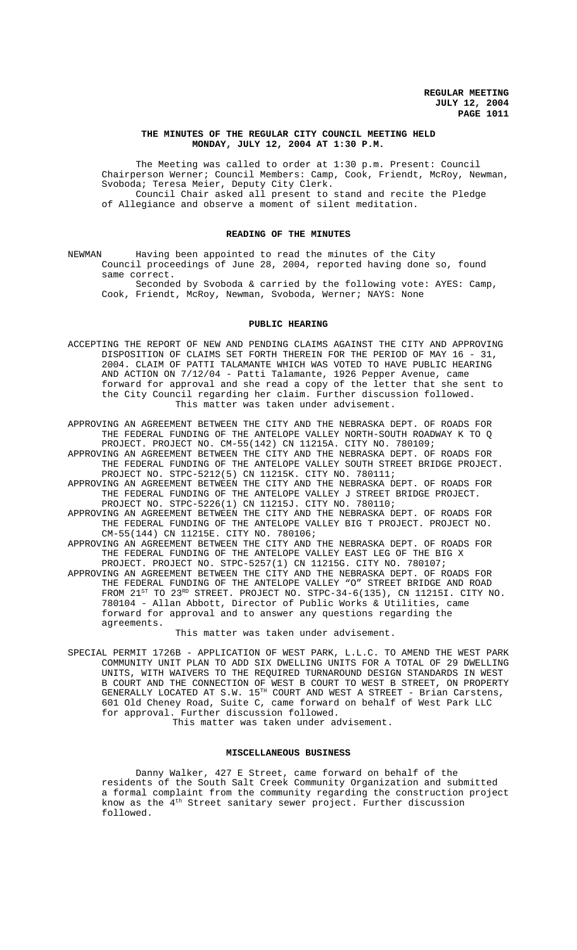# **THE MINUTES OF THE REGULAR CITY COUNCIL MEETING HELD MONDAY, JULY 12, 2004 AT 1:30 P.M.**

The Meeting was called to order at 1:30 p.m. Present: Council Chairperson Werner; Council Members: Camp, Cook, Friendt, McRoy, Newman, Svoboda; Teresa Meier, Deputy City Clerk. Council Chair asked all present to stand and recite the Pledge of Allegiance and observe a moment of silent meditation.

#### **READING OF THE MINUTES**

NEWMAN Having been appointed to read the minutes of the City Council proceedings of June 28, 2004, reported having done so, found same correct.

Seconded by Svoboda & carried by the following vote: AYES: Camp, Cook, Friendt, McRoy, Newman, Svoboda, Werner; NAYS: None

## **PUBLIC HEARING**

- ACCEPTING THE REPORT OF NEW AND PENDING CLAIMS AGAINST THE CITY AND APPROVING DISPOSITION OF CLAIMS SET FORTH THEREIN FOR THE PERIOD OF MAY 16 - 31, 2004. CLAIM OF PATTI TALAMANTE WHICH WAS VOTED TO HAVE PUBLIC HEARING AND ACTION ON 7/12/04 - Patti Talamante, 1926 Pepper Avenue, came forward for approval and she read a copy of the letter that she sent to the City Council regarding her claim. Further discussion followed. This matter was taken under advisement.
- APPROVING AN AGREEMENT BETWEEN THE CITY AND THE NEBRASKA DEPT. OF ROADS FOR THE FEDERAL FUNDING OF THE ANTELOPE VALLEY NORTH-SOUTH ROADWAY K TO Q PROJECT. PROJECT NO. CM-55(142) CN 11215A. CITY NO. 780109;
- APPROVING AN AGREEMENT BETWEEN THE CITY AND THE NEBRASKA DEPT. OF ROADS FOR THE FEDERAL FUNDING OF THE ANTELOPE VALLEY SOUTH STREET BRIDGE PROJECT. PROJECT NO. STPC-5212(5) CN 11215K. CITY NO. 780111;
- APPROVING AN AGREEMENT BETWEEN THE CITY AND THE NEBRASKA DEPT. OF ROADS FOR THE FEDERAL FUNDING OF THE ANTELOPE VALLEY J STREET BRIDGE PROJECT. PROJECT NO. STPC-5226(1) CN 11215J. CITY NO. 780110;
- APPROVING AN AGREEMENT BETWEEN THE CITY AND THE NEBRASKA DEPT. OF ROADS FOR THE FEDERAL FUNDING OF THE ANTELOPE VALLEY BIG T PROJECT. PROJECT NO. CM-55(144) CN 11215E. CITY NO. 780106;
- APPROVING AN AGREEMENT BETWEEN THE CITY AND THE NEBRASKA DEPT. OF ROADS FOR THE FEDERAL FUNDING OF THE ANTELOPE VALLEY EAST LEG OF THE BIG X PROJECT. PROJECT NO. STPC-5257(1) CN 11215G. CITY NO. 780107;
- APPROVING AN AGREEMENT BETWEEN THE CITY AND THE NEBRASKA DEPT. OF ROADS FOR THE FEDERAL FUNDING OF THE ANTELOPE VALLEY "O" STREET BRIDGE AND ROAD FROM 21 $^{ST}$  TO 23 $^{RD}$  STREET. PROJECT NO. STPC-34-6(135), CN 11215I. CITY NO. 780104 - Allan Abbott, Director of Public Works & Utilities, came forward for approval and to answer any questions regarding the agreements.

This matter was taken under advisement.

SPECIAL PERMIT 1726B - APPLICATION OF WEST PARK, L.L.C. TO AMEND THE WEST PARK COMMUNITY UNIT PLAN TO ADD SIX DWELLING UNITS FOR A TOTAL OF 29 DWELLING UNITS, WITH WAIVERS TO THE REQUIRED TURNAROUND DESIGN STANDARDS IN WEST B COURT AND THE CONNECTION OF WEST B COURT TO WEST B STREET, ON PROPERTY GENERALLY LOCATED AT S.W. 15TH COURT AND WEST A STREET - Brian Carstens, 601 Old Cheney Road, Suite C, came forward on behalf of West Park LLC for approval. Further discussion followed.

This matter was taken under advisement.

#### **MISCELLANEOUS BUSINESS**

Danny Walker, 427 E Street, came forward on behalf of the residents of the South Salt Creek Community Organization and submitted a formal complaint from the community regarding the construction project know as the  $4<sup>th</sup>$  Street sanitary sewer project. Further discussion followed.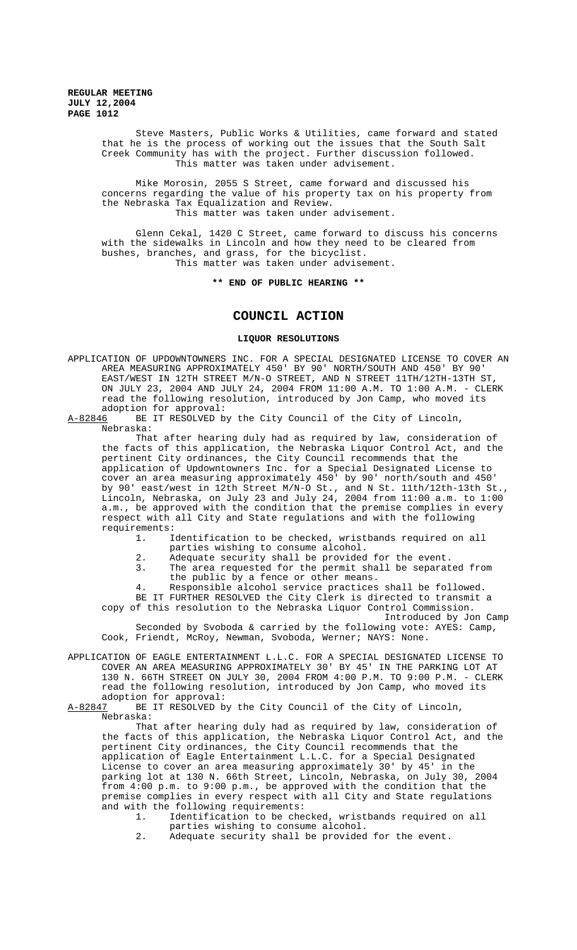> Steve Masters, Public Works & Utilities, came forward and stated that he is the process of working out the issues that the South Salt Creek Community has with the project. Further discussion followed. This matter was taken under advisement.

Mike Morosin, 2055 S Street, came forward and discussed his concerns regarding the value of his property tax on his property from the Nebraska Tax Equalization and Review. This matter was taken under advisement.

Glenn Cekal, 1420 C Street, came forward to discuss his concerns with the sidewalks in Lincoln and how they need to be cleared from bushes, branches, and grass, for the bicyclist. This matter was taken under advisement.

**\*\* END OF PUBLIC HEARING \*\***

# **COUNCIL ACTION**

# **LIQUOR RESOLUTIONS**

APPLICATION OF UPDOWNTOWNERS INC. FOR A SPECIAL DESIGNATED LICENSE TO COVER AN AREA MEASURING APPROXIMATELY 450' BY 90' NORTH/SOUTH AND 450' BY 90' EAST/WEST IN 12TH STREET M/N-O STREET, AND N STREET 11TH/12TH-13TH ST, ON JULY 23, 2004 AND JULY 24, 2004 FROM 11:00 A.M. TO 1:00 A.M. - CLERK read the following resolution, introduced by Jon Camp, who moved its adoption for approval:<br>A-82846 BE IT RESOLVED b

BE IT RESOLVED by the City Council of the City of Lincoln, Nebraska:

That after hearing duly had as required by law, consideration of the facts of this application, the Nebraska Liquor Control Act, and the pertinent City ordinances, the City Council recommends that the application of Updowntowners Inc. for a Special Designated License to cover an area measuring approximately 450' by 90' north/south and 450' by 90' east/west in 12th Street M/N-O St., and N St. 11th/12th-13th St., Lincoln, Nebraska, on July 23 and July 24, 2004 from 11:00 a.m. to 1:00 a.m., be approved with the condition that the premise complies in every respect with all City and State regulations and with the following requirements:

1. Identification to be checked, wristbands required on all parties wishing to consume alcohol.

- 2. Adequate security shall be provided for the event.
- 3. The area requested for the permit shall be separated from the public by a fence or other means.

4. Responsible alcohol service practices shall be followed. BE IT FURTHER RESOLVED the City Clerk is directed to transmit a copy of this resolution to the Nebraska Liquor Control Commission.

Introduced by Jon Camp

Seconded by Svoboda & carried by the following vote: AYES: Camp, Cook, Friendt, McRoy, Newman, Svoboda, Werner; NAYS: None.

APPLICATION OF EAGLE ENTERTAINMENT L.L.C. FOR A SPECIAL DESIGNATED LICENSE TO COVER AN AREA MEASURING APPROXIMATELY 30' BY 45' IN THE PARKING LOT AT 130 N. 66TH STREET ON JULY 30, 2004 FROM 4:00 P.M. TO 9:00 P.M. - CLERK read the following resolution, introduced by Jon Camp, who moved its adoption for approval:<br>A-82847 BE IT RESOLVED by

BE IT RESOLVED by the City Council of the City of Lincoln, Nebraska:

That after hearing duly had as required by law, consideration of the facts of this application, the Nebraska Liquor Control Act, and the pertinent City ordinances, the City Council recommends that the application of Eagle Entertainment L.L.C. for a Special Designated License to cover an area measuring approximately 30' by 45' in the parking lot at 130 N. 66th Street, Lincoln, Nebraska, on July 30, 2004 from 4:00 p.m. to 9:00 p.m., be approved with the condition that the premise complies in every respect with all City and State regulations and with the following requirements:

- 1. Identification to be checked, wristbands required on all parties wishing to consume alcohol.
- 2. Adequate security shall be provided for the event.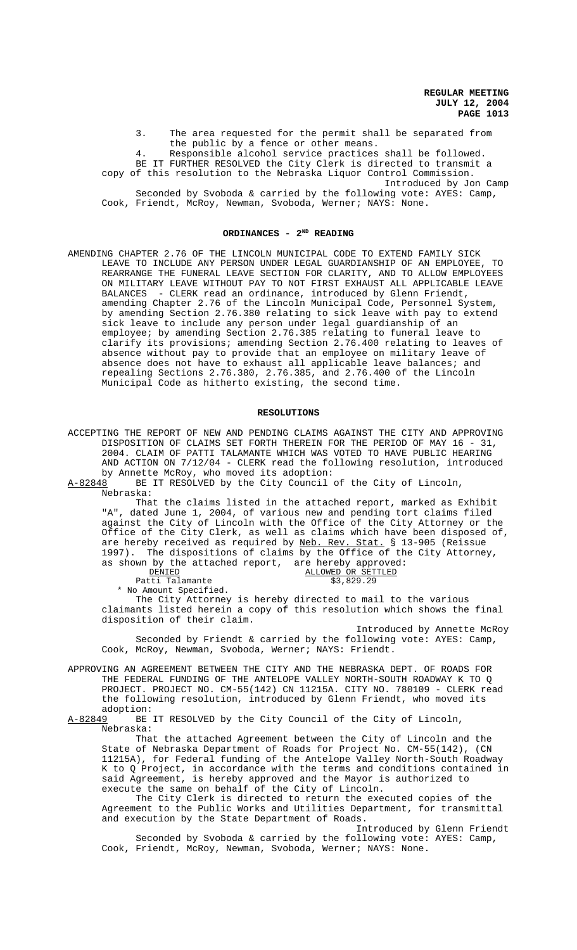3. The area requested for the permit shall be separated from the public by a fence or other means.

4. Responsible alcohol service practices shall be followed. BE IT FURTHER RESOLVED the City Clerk is directed to transmit a copy of this resolution to the Nebraska Liquor Control Commission. Introduced by Jon Camp

Seconded by Svoboda & carried by the following vote: AYES: Camp, Cook, Friendt, McRoy, Newman, Svoboda, Werner; NAYS: None.

#### **ORDINANCES - 2ND READING**

AMENDING CHAPTER 2.76 OF THE LINCOLN MUNICIPAL CODE TO EXTEND FAMILY SICK LEAVE TO INCLUDE ANY PERSON UNDER LEGAL GUARDIANSHIP OF AN EMPLOYEE, TO REARRANGE THE FUNERAL LEAVE SECTION FOR CLARITY, AND TO ALLOW EMPLOYEES ON MILITARY LEAVE WITHOUT PAY TO NOT FIRST EXHAUST ALL APPLICABLE LEAVE BALANCES - CLERK read an ordinance, introduced by Glenn Friendt, amending Chapter 2.76 of the Lincoln Municipal Code, Personnel System, by amending Section 2.76.380 relating to sick leave with pay to extend sick leave to include any person under legal guardianship of an employee; by amending Section 2.76.385 relating to funeral leave to clarify its provisions; amending Section 2.76.400 relating to leaves of absence without pay to provide that an employee on military leave of absence does not have to exhaust all applicable leave balances; and repealing Sections 2.76.380, 2.76.385, and 2.76.400 of the Lincoln Municipal Code as hitherto existing, the second time.

#### **RESOLUTIONS**

ACCEPTING THE REPORT OF NEW AND PENDING CLAIMS AGAINST THE CITY AND APPROVING DISPOSITION OF CLAIMS SET FORTH THEREIN FOR THE PERIOD OF MAY 16 - 31, 2004. CLAIM OF PATTI TALAMANTE WHICH WAS VOTED TO HAVE PUBLIC HEARING AND ACTION ON 7/12/04 - CLERK read the following resolution, introduced by Annette McRoy, who moved its adoption:

A-82848 BE IT RESOLVED by the City Council of the City of Lincoln, Nebraska:

That the claims listed in the attached report, marked as Exhibit "A", dated June 1, 2004, of various new and pending tort claims filed against the City of Lincoln with the Office of the City Attorney or the Office of the City Clerk, as well as claims which have been disposed of, are hereby received as required by <u>Neb. Rev. Stat.</u> § 13-905 (Reissue are hereby received as required by Neb. Rev. 1997). The dispositions of claims by the Office of the City Attorney,

as shown by the attached report, are hereby approved:<br><u>DENIED</u> ALLOWED OR SETTLED ALLOWED OR SETTLED<br>\$3,829.29

Patti Talamante

 \* No Amount Specified. The City Attorney is hereby directed to mail to the various claimants listed herein a copy of this resolution which shows the final disposition of their claim.

Introduced by Annette McRoy Seconded by Friendt & carried by the following vote: AYES: Camp, Cook, McRoy, Newman, Svoboda, Werner; NAYS: Friendt.

APPROVING AN AGREEMENT BETWEEN THE CITY AND THE NEBRASKA DEPT. OF ROADS FOR THE FEDERAL FUNDING OF THE ANTELOPE VALLEY NORTH-SOUTH ROADWAY K TO Q PROJECT. PROJECT NO. CM-55(142) CN 11215A. CITY NO. 780109 - CLERK read the following resolution, introduced by Glenn Friendt, who moved its adoption:

A-82849 BE IT RESOLVED by the City Council of the City of Lincoln, Nebraska:

That the attached Agreement between the City of Lincoln and the State of Nebraska Department of Roads for Project No. CM-55(142), (CN 11215A), for Federal funding of the Antelope Valley North-South Roadway K to Q Project, in accordance with the terms and conditions contained in said Agreement, is hereby approved and the Mayor is authorized to execute the same on behalf of the City of Lincoln.

The City Clerk is directed to return the executed copies of the Agreement to the Public Works and Utilities Department, for transmittal and execution by the State Department of Roads.

Introduced by Glenn Friendt Seconded by Svoboda & carried by the following vote: AYES: Camp, Cook, Friendt, McRoy, Newman, Svoboda, Werner; NAYS: None.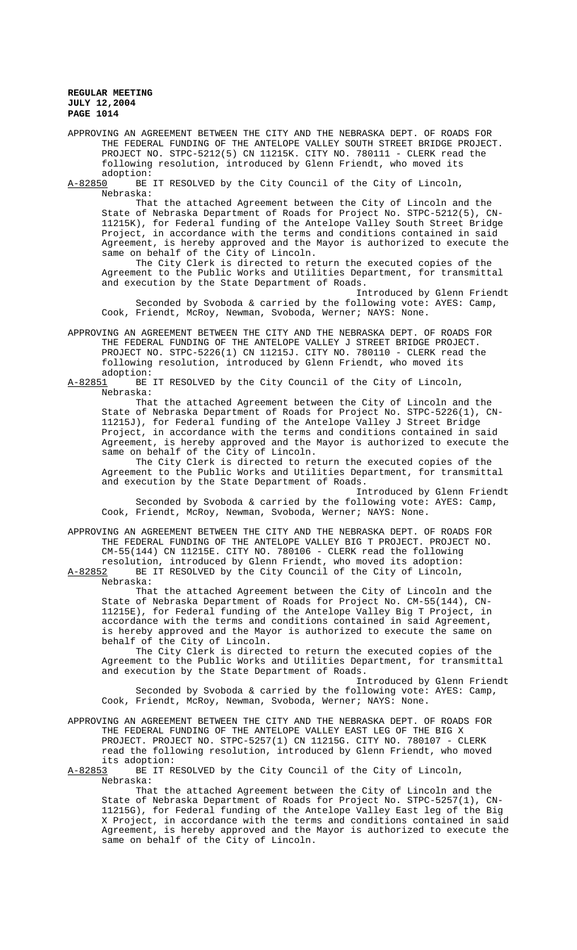APPROVING AN AGREEMENT BETWEEN THE CITY AND THE NEBRASKA DEPT. OF ROADS FOR THE FEDERAL FUNDING OF THE ANTELOPE VALLEY SOUTH STREET BRIDGE PROJECT. PROJECT NO. STPC-5212(5) CN 11215K. CITY NO. 780111 - CLERK read the following resolution, introduced by Glenn Friendt, who moved its adoption:

A-82850 BE IT RESOLVED by the City Council of the City of Lincoln, Nebraska:

That the attached Agreement between the City of Lincoln and the State of Nebraska Department of Roads for Project No. STPC-5212(5), CN-11215K), for Federal funding of the Antelope Valley South Street Bridge Project, in accordance with the terms and conditions contained in said Agreement, is hereby approved and the Mayor is authorized to execute the same on behalf of the City of Lincoln.

The City Clerk is directed to return the executed copies of the Agreement to the Public Works and Utilities Department, for transmittal and execution by the State Department of Roads.

Introduced by Glenn Friendt Seconded by Svoboda & carried by the following vote: AYES: Camp, Cook, Friendt, McRoy, Newman, Svoboda, Werner; NAYS: None.

APPROVING AN AGREEMENT BETWEEN THE CITY AND THE NEBRASKA DEPT. OF ROADS FOR THE FEDERAL FUNDING OF THE ANTELOPE VALLEY J STREET BRIDGE PROJECT. PROJECT NO. STPC-5226(1) CN 11215J. CITY NO. 780110 - CLERK read the following resolution, introduced by Glenn Friendt, who moved its adoption:<br>A-82851 BE

BE IT RESOLVED by the City Council of the City of Lincoln, Nebraska:

That the attached Agreement between the City of Lincoln and the State of Nebraska Department of Roads for Project No. STPC-5226(1), CN-11215J), for Federal funding of the Antelope Valley J Street Bridge Project, in accordance with the terms and conditions contained in said Agreement, is hereby approved and the Mayor is authorized to execute the same on behalf of the City of Lincoln.

The City Clerk is directed to return the executed copies of the Agreement to the Public Works and Utilities Department, for transmittal and execution by the State Department of Roads.

Introduced by Glenn Friendt Seconded by Svoboda & carried by the following vote: AYES: Camp, Cook, Friendt, McRoy, Newman, Svoboda, Werner; NAYS: None.

APPROVING AN AGREEMENT BETWEEN THE CITY AND THE NEBRASKA DEPT. OF ROADS FOR THE FEDERAL FUNDING OF THE ANTELOPE VALLEY BIG T PROJECT. PROJECT NO. CM-55(144) CN 11215E. CITY NO. 780106 - CLERK read the following

resolution, introduced by Glenn Friendt, who moved its adoption:<br>A-82852 BE IT RESOLVED by the City Council of the City of Lincoln, BE IT RESOLVED by the City Council of the City of Lincoln, Nebraska:

That the attached Agreement between the City of Lincoln and the State of Nebraska Department of Roads for Project No. CM-55(144), CN-11215E), for Federal funding of the Antelope Valley Big T Project, in accordance with the terms and conditions contained in said Agreement, is hereby approved and the Mayor is authorized to execute the same on behalf of the City of Lincoln.

The City Clerk is directed to return the executed copies of the Agreement to the Public Works and Utilities Department, for transmittal and execution by the State Department of Roads.

Introduced by Glenn Friendt Seconded by Svoboda & carried by the following vote: AYES: Camp, Cook, Friendt, McRoy, Newman, Svoboda, Werner; NAYS: None.

APPROVING AN AGREEMENT BETWEEN THE CITY AND THE NEBRASKA DEPT. OF ROADS FOR THE FEDERAL FUNDING OF THE ANTELOPE VALLEY EAST LEG OF THE BIG X PROJECT. PROJECT NO. STPC-5257(1) CN 11215G. CITY NO. 780107 - CLERK read the following resolution, introduced by Glenn Friendt, who moved its adoption:

A-82853 BE IT RESOLVED by the City Council of the City of Lincoln, Nebraska:

That the attached Agreement between the City of Lincoln and the State of Nebraska Department of Roads for Project No. STPC-5257(1), CN-11215G), for Federal funding of the Antelope Valley East leg of the Big X Project, in accordance with the terms and conditions contained in said Agreement, is hereby approved and the Mayor is authorized to execute the same on behalf of the City of Lincoln.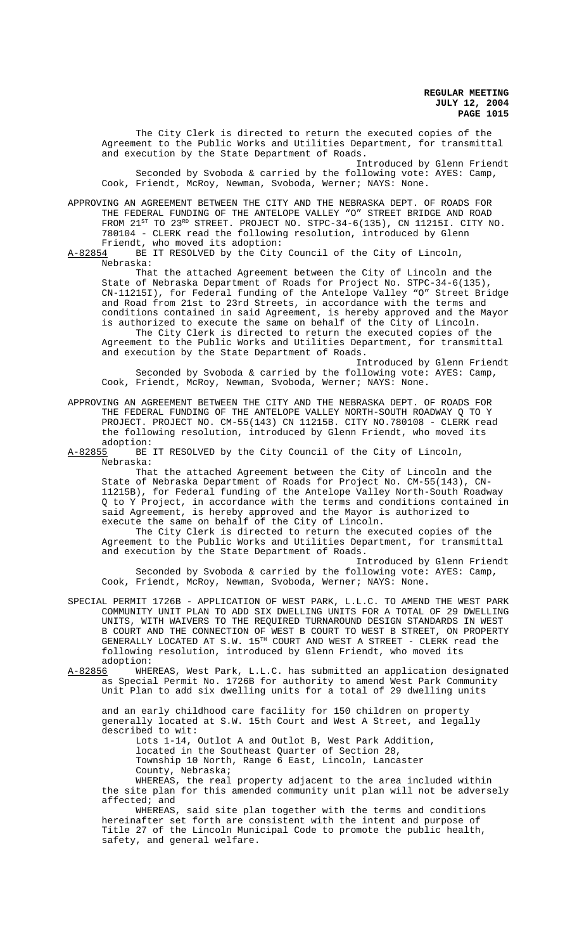The City Clerk is directed to return the executed copies of the Agreement to the Public Works and Utilities Department, for transmittal and execution by the State Department of Roads.

Introduced by Glenn Friendt Seconded by Svoboda & carried by the following vote: AYES: Camp, Cook, Friendt, McRoy, Newman, Svoboda, Werner; NAYS: None.

APPROVING AN AGREEMENT BETWEEN THE CITY AND THE NEBRASKA DEPT. OF ROADS FOR THE FEDERAL FUNDING OF THE ANTELOPE VALLEY "O" STREET BRIDGE AND ROAD FROM 21<sup>st</sup> to 23<sup>RD</sup> STREET. PROJECT NO. STPC-34-6(135), CN 11215I. CITY NO. 780104 - CLERK read the following resolution, introduced by Glenn Friendt, who moved its adoption:<br>A-82854 BE IT RESOLVED by the City

BE IT RESOLVED by the City Council of the City of Lincoln, Nebraska:

That the attached Agreement between the City of Lincoln and the State of Nebraska Department of Roads for Project No. STPC-34-6(135), CN-11215I), for Federal funding of the Antelope Valley "O" Street Bridge and Road from 21st to 23rd Streets, in accordance with the terms and conditions contained in said Agreement, is hereby approved and the Mayor is authorized to execute the same on behalf of the City of Lincoln.

The City Clerk is directed to return the executed copies of the Agreement to the Public Works and Utilities Department, for transmittal and execution by the State Department of Roads.

Introduced by Glenn Friendt Seconded by Svoboda & carried by the following vote: AYES: Camp, Cook, Friendt, McRoy, Newman, Svoboda, Werner; NAYS: None.

APPROVING AN AGREEMENT BETWEEN THE CITY AND THE NEBRASKA DEPT. OF ROADS FOR THE FEDERAL FUNDING OF THE ANTELOPE VALLEY NORTH-SOUTH ROADWAY Q TO Y PROJECT. PROJECT NO. CM-55(143) CN 11215B. CITY NO.780108 - CLERK read the following resolution, introduced by Glenn Friendt, who moved its

adoption:<br>A-82855 BE BE IT RESOLVED by the City Council of the City of Lincoln, Nebraska:

That the attached Agreement between the City of Lincoln and the State of Nebraska Department of Roads for Project No. CM-55(143), CN-11215B), for Federal funding of the Antelope Valley North-South Roadway Q to Y Project, in accordance with the terms and conditions contained in said Agreement, is hereby approved and the Mayor is authorized to execute the same on behalf of the City of Lincoln.

The City Clerk is directed to return the executed copies of the Agreement to the Public Works and Utilities Department, for transmittal and execution by the State Department of Roads.

Introduced by Glenn Friendt Seconded by Svoboda & carried by the following vote: AYES: Camp, Cook, Friendt, McRoy, Newman, Svoboda, Werner; NAYS: None.

- SPECIAL PERMIT 1726B APPLICATION OF WEST PARK, L.L.C. TO AMEND THE WEST PARK COMMUNITY UNIT PLAN TO ADD SIX DWELLING UNITS FOR A TOTAL OF 29 DWELLING UNITS, WITH WAIVERS TO THE REQUIRED TURNAROUND DESIGN STANDARDS IN WEST B COURT AND THE CONNECTION OF WEST B COURT TO WEST B STREET, ON PROPERTY GENERALLY LOCATED AT S.W. 15<sup>TH</sup> COURT AND WEST A STREET - CLERK read the following resolution, introduced by Glenn Friendt, who moved its adoption:
- A-82856 WHEREAS, West Park, L.L.C. has submitted an application designated as Special Permit No. 1726B for authority to amend West Park Community Unit Plan to add six dwelling units for a total of 29 dwelling units

and an early childhood care facility for 150 children on property generally located at S.W. 15th Court and West A Street, and legally described to wit:

Lots 1-14, Outlot A and Outlot B, West Park Addition, located in the Southeast Quarter of Section 28, Township 10 North, Range 6 East, Lincoln, Lancaster County, Nebraska;

WHEREAS, the real property adjacent to the area included within the site plan for this amended community unit plan will not be adversely affected; and

WHEREAS, said site plan together with the terms and conditions hereinafter set forth are consistent with the intent and purpose of Title 27 of the Lincoln Municipal Code to promote the public health, safety, and general welfare.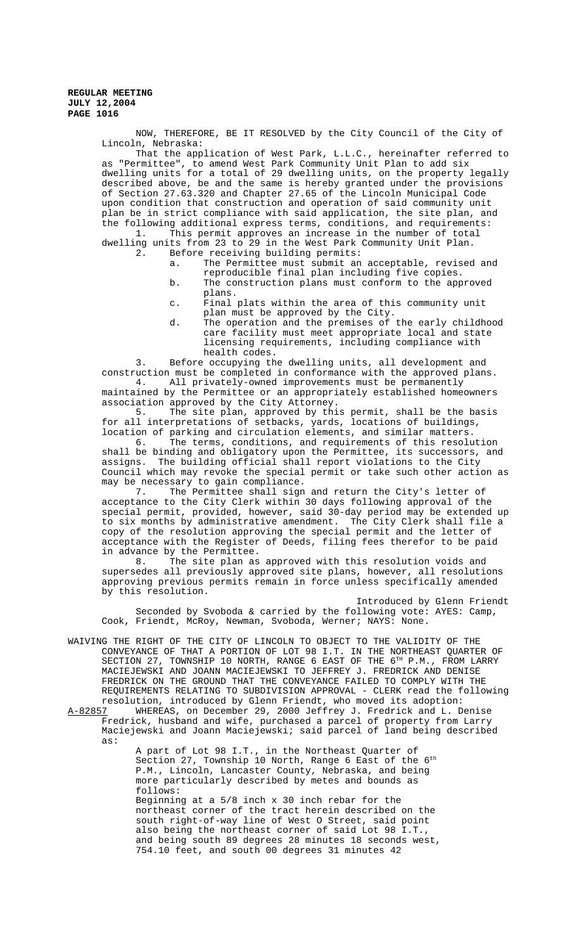NOW, THEREFORE, BE IT RESOLVED by the City Council of the City of Lincoln, Nebraska:

That the application of West Park, L.L.C., hereinafter referred to as "Permittee", to amend West Park Community Unit Plan to add six dwelling units for a total of 29 dwelling units, on the property legally described above, be and the same is hereby granted under the provisions of Section 27.63.320 and Chapter 27.65 of the Lincoln Municipal Code upon condition that construction and operation of said community unit plan be in strict compliance with said application, the site plan, and the following additional express terms, conditions, and requirements:<br>1. This permit approves an increase in the number of total

This permit approves an increase in the number of total dwelling units from 23 to 29 in the West Park Community Unit Plan.<br>2. Before receiving building permits: Before receiving building permits:

- a. The Permittee must submit an acceptable, revised and reproducible final plan including five copies.
- b. The construction plans must conform to the approved plans.
- c. Final plats within the area of this community unit plan must be approved by the City.
- d. The operation and the premises of the early childhood care facility must meet appropriate local and state licensing requirements, including compliance with health codes.

3. Before occupying the dwelling units, all development and construction must be completed in conformance with the approved plans.<br>4. All privately-owned improvements must be permanently All privately-owned improvements must be permanently

maintained by the Permittee or an appropriately established homeowners association approved by the City Attorney.

5. The site plan, approved by this permit, shall be the basis for all interpretations of setbacks, yards, locations of buildings, location of parking and circulation elements, and similar matters.

6. The terms, conditions, and requirements of this resolution shall be binding and obligatory upon the Permittee, its successors, and assigns. The building official shall report violations to the City Council which may revoke the special permit or take such other action as may be necessary to gain compliance.

7. The Permittee shall sign and return the City's letter of acceptance to the City Clerk within 30 days following approval of the special permit, provided, however, said 30-day period may be extended up to six months by administrative amendment. The City Clerk shall file a copy of the resolution approving the special permit and the letter of acceptance with the Register of Deeds, filing fees therefor to be paid in advance by the Permittee.

8. The site plan as approved with this resolution voids and supersedes all previously approved site plans, however, all resolutions approving previous permits remain in force unless specifically amended by this resolution.

Introduced by Glenn Friendt Seconded by Svoboda & carried by the following vote: AYES: Camp, Cook, Friendt, McRoy, Newman, Svoboda, Werner; NAYS: None.

- WAIVING THE RIGHT OF THE CITY OF LINCOLN TO OBJECT TO THE VALIDITY OF THE CONVEYANCE OF THAT A PORTION OF LOT 98 I.T. IN THE NORTHEAST QUARTER OF SECTION 27, TOWNSHIP 10 NORTH, RANGE 6 EAST OF THE 6TH P.M., FROM LARRY MACIEJEWSKI AND JOANN MACIEJEWSKI TO JEFFREY J. FREDRICK AND DENISE FREDRICK ON THE GROUND THAT THE CONVEYANCE FAILED TO COMPLY WITH THE REQUIREMENTS RELATING TO SUBDIVISION APPROVAL - CLERK read the following
- resolution, introduced by Glenn Friendt, who moved its adoption:<br>A-82857 WHEREAS, on December 29, 2000 Jeffrey J. Fredrick and L. D WHEREAS, on December 29, 2000 Jeffrey J. Fredrick and L. Denise Fredrick, husband and wife, purchased a parcel of property from Larry Maciejewski and Joann Maciejewski; said parcel of land being described as:

A part of Lot 98 I.T., in the Northeast Quarter of Section 27, Township 10 North, Range 6 East of the  $6<sup>th</sup>$ P.M., Lincoln, Lancaster County, Nebraska, and being more particularly described by metes and bounds as follows: Beginning at a 5/8 inch x 30 inch rebar for the northeast corner of the tract herein described on the south right-of-way line of West O Street, said point also being the northeast corner of said Lot 98 I.T., and being south 89 degrees 28 minutes 18 seconds west, 754.10 feet, and south 00 degrees 31 minutes 42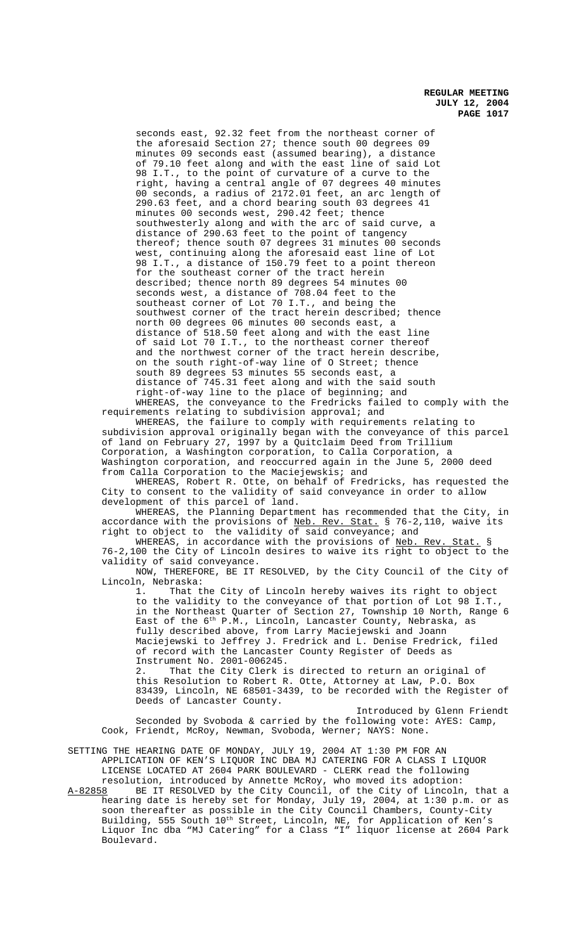seconds east, 92.32 feet from the northeast corner of the aforesaid Section 27; thence south 00 degrees 09 minutes 09 seconds east (assumed bearing), a distance of 79.10 feet along and with the east line of said Lot 98 I.T., to the point of curvature of a curve to the right, having a central angle of 07 degrees 40 minutes 00 seconds, a radius of 2172.01 feet, an arc length of 290.63 feet, and a chord bearing south 03 degrees 41 minutes 00 seconds west, 290.42 feet; thence southwesterly along and with the arc of said curve, a distance of 290.63 feet to the point of tangency thereof; thence south 07 degrees 31 minutes 00 seconds west, continuing along the aforesaid east line of Lot 98 I.T., a distance of 150.79 feet to a point thereon for the southeast corner of the tract herein described; thence north 89 degrees 54 minutes 00 seconds west, a distance of 708.04 feet to the southeast corner of Lot 70 I.T., and being the southwest corner of the tract herein described; thence north 00 degrees 06 minutes 00 seconds east, a distance of 518.50 feet along and with the east line of said Lot 70 I.T., to the northeast corner thereof and the northwest corner of the tract herein describe, on the south right-of-way line of O Street; thence south 89 degrees 53 minutes 55 seconds east, a distance of 745.31 feet along and with the said south right-of-way line to the place of beginning; and

WHEREAS, the conveyance to the Fredricks failed to comply with the requirements relating to subdivision approval; and

WHEREAS, the failure to comply with requirements relating to subdivision approval originally began with the conveyance of this parcel of land on February 27, 1997 by a Quitclaim Deed from Trillium Corporation, a Washington corporation, to Calla Corporation, a Washington corporation, and reoccurred again in the June 5, 2000 deed from Calla Corporation to the Maciejewskis; and

WHEREAS, Robert R. Otte, on behalf of Fredricks, has requested the City to consent to the validity of said conveyance in order to allow development of this parcel of land.

WHEREAS, the Planning Department has recommended that the City, in accordance with the provisions of Neb. Rev. Stat. § 76-2,110, waive its right to object to the validity of said conveyance; and

WHEREAS, in accordance with the provisions of Neb. Rev. Stat. § 76-2,100 the City of Lincoln desires to waive its right to object to the validity of said conveyance.

NOW, THEREFORE, BE IT RESOLVED, by the City Council of the City of Lincoln, Nebraska:

1. That the City of Lincoln hereby waives its right to object to the validity to the conveyance of that portion of Lot 98 I.T., in the Northeast Quarter of Section 27, Township 10 North, Range 6 East of the  $6^{th}$  P.M., Lincoln, Lancaster County, Nebraska, as fully described above, from Larry Maciejewski and Joann Maciejewski to Jeffrey J. Fredrick and L. Denise Fredrick, filed of record with the Lancaster County Register of Deeds as Instrument No. 2001-006245. 2. That the City Clerk is directed to return an original of

this Resolution to Robert R. Otte, Attorney at Law, P.O. Box 83439, Lincoln, NE 68501-3439, to be recorded with the Register of Deeds of Lancaster County.

Introduced by Glenn Friendt Seconded by Svoboda & carried by the following vote: AYES: Camp, Cook, Friendt, McRoy, Newman, Svoboda, Werner; NAYS: None.

SETTING THE HEARING DATE OF MONDAY, JULY 19, 2004 AT 1:30 PM FOR AN APPLICATION OF KEN'S LIQUOR INC DBA MJ CATERING FOR A CLASS I LIQUOR LICENSE LOCATED AT 2604 PARK BOULEVARD - CLERK read the following

resolution, introduced by Annette McRoy, who moved its adoption: A-82858 BE IT RESOLVED by the City Council, of the City of Lincoln, that a hearing date is hereby set for Monday, July 19, 2004, at 1:30 p.m. or as soon thereafter as possible in the City Council Chambers, County-City Building, 555 South  $10^{\text{th}}$  Street, Lincoln, NE, for Application of Ken's Liquor Inc dba "MJ Catering" for a Class "I" liquor license at 2604 Park Boulevard.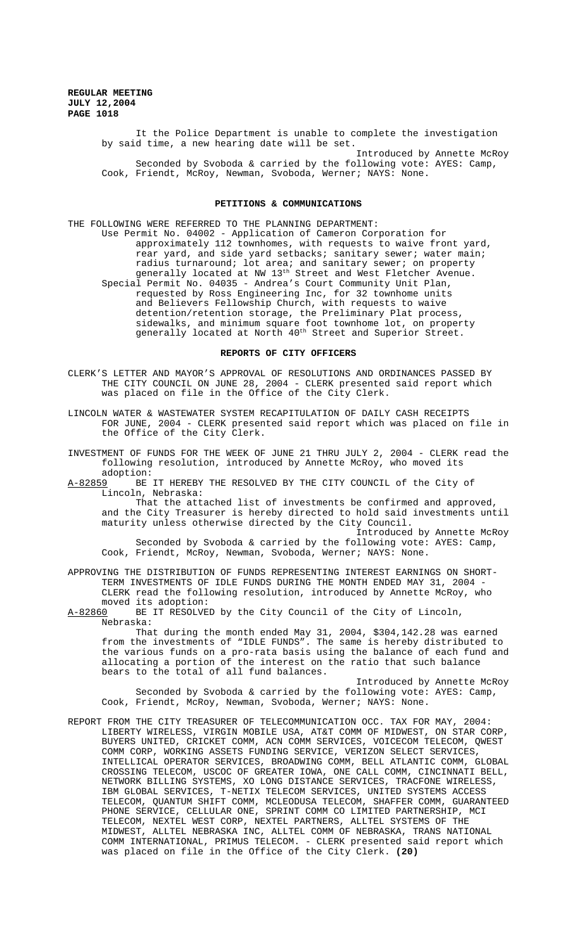> It the Police Department is unable to complete the investigation by said time, a new hearing date will be set.

Introduced by Annette McRoy Seconded by Svoboda & carried by the following vote: AYES: Camp, Cook, Friendt, McRoy, Newman, Svoboda, Werner; NAYS: None.

# **PETITIONS & COMMUNICATIONS**

THE FOLLOWING WERE REFERRED TO THE PLANNING DEPARTMENT: Use Permit No. 04002 - Application of Cameron Corporation for approximately 112 townhomes, with requests to waive front yard, rear yard, and side yard setbacks; sanitary sewer; water main; radius turnaround; lot area; and sanitary sewer; on property generally located at NW 13<sup>th</sup> Street and West Fletcher Avenue. Special Permit No. 04035 - Andrea's Court Community Unit Plan, requested by Ross Engineering Inc, for 32 townhome units and Believers Fellowship Church, with requests to waive detention/retention storage, the Preliminary Plat process, sidewalks, and minimum square foot townhome lot, on property generally located at North 40<sup>th</sup> Street and Superior Street.

#### **REPORTS OF CITY OFFICERS**

- CLERK'S LETTER AND MAYOR'S APPROVAL OF RESOLUTIONS AND ORDINANCES PASSED BY THE CITY COUNCIL ON JUNE 28, 2004 - CLERK presented said report which was placed on file in the Office of the City Clerk.
- LINCOLN WATER & WASTEWATER SYSTEM RECAPITULATION OF DAILY CASH RECEIPTS FOR JUNE, 2004 - CLERK presented said report which was placed on file in the Office of the City Clerk.
- INVESTMENT OF FUNDS FOR THE WEEK OF JUNE 21 THRU JULY 2, 2004 CLERK read the following resolution, introduced by Annette McRoy, who moved its adoption:
- A-82859 BE IT HEREBY THE RESOLVED BY THE CITY COUNCIL of the City of Lincoln, Nebraska:

That the attached list of investments be confirmed and approved, and the City Treasurer is hereby directed to hold said investments until maturity unless otherwise directed by the City Council.

Introduced by Annette McRoy Seconded by Svoboda & carried by the following vote: AYES: Camp, Cook, Friendt, McRoy, Newman, Svoboda, Werner; NAYS: None.

APPROVING THE DISTRIBUTION OF FUNDS REPRESENTING INTEREST EARNINGS ON SHORT-TERM INVESTMENTS OF IDLE FUNDS DURING THE MONTH ENDED MAY 31, 2004 - CLERK read the following resolution, introduced by Annette McRoy, who moved its adoption:

A-82860 BE IT RESOLVED by the City Council of the City of Lincoln, Nebraska:

That during the month ended May 31, 2004, \$304,142.28 was earned from the investments of "IDLE FUNDS". The same is hereby distributed to the various funds on a pro-rata basis using the balance of each fund and allocating a portion of the interest on the ratio that such balance bears to the total of all fund balances.

Introduced by Annette McRoy Seconded by Svoboda & carried by the following vote: AYES: Camp, Cook, Friendt, McRoy, Newman, Svoboda, Werner; NAYS: None.

REPORT FROM THE CITY TREASURER OF TELECOMMUNICATION OCC. TAX FOR MAY, 2004: LIBERTY WIRELESS, VIRGIN MOBILE USA, AT&T COMM OF MIDWEST, ON STAR CORP, BUYERS UNITED, CRICKET COMM, ACN COMM SERVICES, VOICECOM TELECOM, QWEST COMM CORP, WORKING ASSETS FUNDING SERVICE, VERIZON SELECT SERVICES, INTELLICAL OPERATOR SERVICES, BROADWING COMM, BELL ATLANTIC COMM, GLOBAL CROSSING TELECOM, USCOC OF GREATER IOWA, ONE CALL COMM, CINCINNATI BELL, NETWORK BILLING SYSTEMS, XO LONG DISTANCE SERVICES, TRACFONE WIRELESS, IBM GLOBAL SERVICES, T-NETIX TELECOM SERVICES, UNITED SYSTEMS ACCESS TELECOM, QUANTUM SHIFT COMM, MCLEODUSA TELECOM, SHAFFER COMM, GUARANTEED PHONE SERVICE, CELLULAR ONE, SPRINT COMM CO LIMITED PARTNERSHIP, MCI TELECOM, NEXTEL WEST CORP, NEXTEL PARTNERS, ALLTEL SYSTEMS OF THE MIDWEST, ALLTEL NEBRASKA INC, ALLTEL COMM OF NEBRASKA, TRANS NATIONAL COMM INTERNATIONAL, PRIMUS TELECOM. - CLERK presented said report which was placed on file in the Office of the City Clerk. **(20)**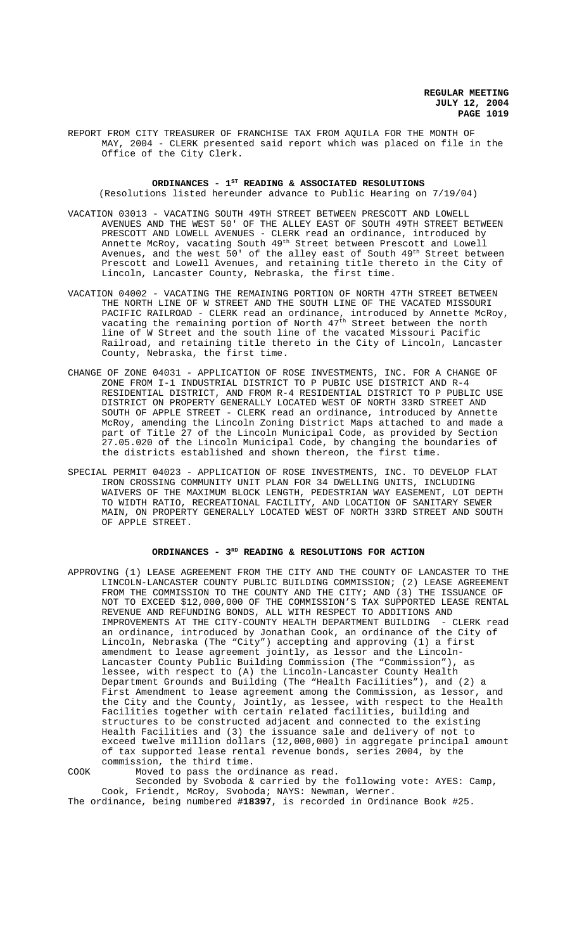REPORT FROM CITY TREASURER OF FRANCHISE TAX FROM AQUILA FOR THE MONTH OF MAY, 2004 - CLERK presented said report which was placed on file in the Office of the City Clerk.

# ORDINANCES - 1<sup>st</sup> READING & ASSOCIATED RESOLUTIONS (Resolutions listed hereunder advance to Public Hearing on 7/19/04)

VACATION 03013 - VACATING SOUTH 49TH STREET BETWEEN PRESCOTT AND LOWELL AVENUES AND THE WEST 50' OF THE ALLEY EAST OF SOUTH 49TH STREET BETWEEN PRESCOTT AND LOWELL AVENUES - CLERK read an ordinance, introduced by Annette McRoy, vacating South 49th Street between Prescott and Lowell Avenues, and the west  $50^{\degree}$  of the alley east of South  $49^{\text{th}}$  Street between Prescott and Lowell Avenues, and retaining title thereto in the City of

Lincoln, Lancaster County, Nebraska, the first time.

- VACATION 04002 VACATING THE REMAINING PORTION OF NORTH 47TH STREET BETWEEN THE NORTH LINE OF W STREET AND THE SOUTH LINE OF THE VACATED MISSOURI PACIFIC RAILROAD - CLERK read an ordinance, introduced by Annette McRoy, vacating the remaining portion of North 47<sup>th</sup> Street between the north line of W Street and the south line of the vacated Missouri Pacific Railroad, and retaining title thereto in the City of Lincoln, Lancaster County, Nebraska, the first time.
- CHANGE OF ZONE 04031 APPLICATION OF ROSE INVESTMENTS, INC. FOR A CHANGE OF ZONE FROM I-1 INDUSTRIAL DISTRICT TO P PUBIC USE DISTRICT AND R-4 RESIDENTIAL DISTRICT, AND FROM R-4 RESIDENTIAL DISTRICT TO P PUBLIC USE DISTRICT ON PROPERTY GENERALLY LOCATED WEST OF NORTH 33RD STREET AND SOUTH OF APPLE STREET - CLERK read an ordinance, introduced by Annette McRoy, amending the Lincoln Zoning District Maps attached to and made a part of Title 27 of the Lincoln Municipal Code, as provided by Section 27.05.020 of the Lincoln Municipal Code, by changing the boundaries of the districts established and shown thereon, the first time.
- SPECIAL PERMIT 04023 APPLICATION OF ROSE INVESTMENTS, INC. TO DEVELOP FLAT IRON CROSSING COMMUNITY UNIT PLAN FOR 34 DWELLING UNITS, INCLUDING WAIVERS OF THE MAXIMUM BLOCK LENGTH, PEDESTRIAN WAY EASEMENT, LOT DEPTH TO WIDTH RATIO, RECREATIONAL FACILITY, AND LOCATION OF SANITARY SEWER MAIN, ON PROPERTY GENERALLY LOCATED WEST OF NORTH 33RD STREET AND SOUTH OF APPLE STREET.

# **ORDINANCES - 3RD READING & RESOLUTIONS FOR ACTION**

APPROVING (1) LEASE AGREEMENT FROM THE CITY AND THE COUNTY OF LANCASTER TO THE LINCOLN-LANCASTER COUNTY PUBLIC BUILDING COMMISSION; (2) LEASE AGREEMENT FROM THE COMMISSION TO THE COUNTY AND THE CITY; AND (3) THE ISSUANCE OF NOT TO EXCEED \$12,000,000 OF THE COMMISSION'S TAX SUPPORTED LEASE RENTAL REVENUE AND REFUNDING BONDS, ALL WITH RESPECT TO ADDITIONS AND IMPROVEMENTS AT THE CITY-COUNTY HEALTH DEPARTMENT BUILDING - CLERK read an ordinance, introduced by Jonathan Cook, an ordinance of the City of Lincoln, Nebraska (The "City") accepting and approving (1) a first amendment to lease agreement jointly, as lessor and the Lincoln-Lancaster County Public Building Commission (The "Commission"), as lessee, with respect to (A) the Lincoln-Lancaster County Health Department Grounds and Building (The "Health Facilities"), and (2) a First Amendment to lease agreement among the Commission, as lessor, and the City and the County, Jointly, as lessee, with respect to the Health Facilities together with certain related facilities, building and structures to be constructed adjacent and connected to the existing Health Facilities and (3) the issuance sale and delivery of not to exceed twelve million dollars (12,000,000) in aggregate principal amount of tax supported lease rental revenue bonds, series 2004, by the commission, the third time.

COOK Moved to pass the ordinance as read. Seconded by Svoboda & carried by the following vote: AYES: Camp, Cook, Friendt, McRoy, Svoboda; NAYS: Newman, Werner. The ordinance, being numbered **#18397**, is recorded in Ordinance Book #25.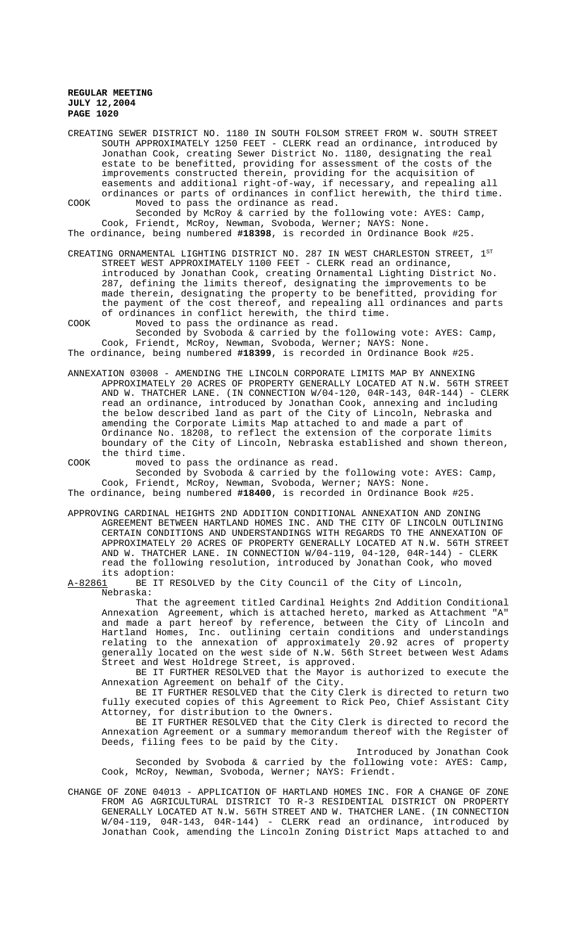CREATING SEWER DISTRICT NO. 1180 IN SOUTH FOLSOM STREET FROM W. SOUTH STREET SOUTH APPROXIMATELY 1250 FEET - CLERK read an ordinance, introduced by Jonathan Cook, creating Sewer District No. 1180, designating the real estate to be benefitted, providing for assessment of the costs of the improvements constructed therein, providing for the acquisition of easements and additional right-of-way, if necessary, and repealing all ordinances or parts of ordinances in conflict herewith, the third time. COOK Moved to pass the ordinance as read.

Seconded by McRoy & carried by the following vote: AYES: Camp, Cook, Friendt, McRoy, Newman, Svoboda, Werner; NAYS: None. The ordinance, being numbered **#18398**, is recorded in Ordinance Book #25.

CREATING ORNAMENTAL LIGHTING DISTRICT NO. 287 IN WEST CHARLESTON STREET,  $1^\mathrm{ST}$ STREET WEST APPROXIMATELY 1100 FEET - CLERK read an ordinance, introduced by Jonathan Cook, creating Ornamental Lighting District No. 287, defining the limits thereof, designating the improvements to be made therein, designating the property to be benefitted, providing for the payment of the cost thereof, and repealing all ordinances and parts of ordinances in conflict herewith, the third time. COOK Moved to pass the ordinance as read.

Seconded by Svoboda & carried by the following vote: AYES: Camp, Cook, Friendt, McRoy, Newman, Svoboda, Werner; NAYS: None. The ordinance, being numbered **#18399**, is recorded in Ordinance Book #25.

ANNEXATION 03008 - AMENDING THE LINCOLN CORPORATE LIMITS MAP BY ANNEXING APPROXIMATELY 20 ACRES OF PROPERTY GENERALLY LOCATED AT N.W. 56TH STREET AND W. THATCHER LANE. (IN CONNECTION W/04-120, 04R-143, 04R-144) - CLERK read an ordinance, introduced by Jonathan Cook, annexing and including the below described land as part of the City of Lincoln, Nebraska and amending the Corporate Limits Map attached to and made a part of Ordinance No. 18208, to reflect the extension of the corporate limits boundary of the City of Lincoln, Nebraska established and shown thereon, the third time.

COOK moved to pass the ordinance as read. Seconded by Svoboda & carried by the following vote: AYES: Camp,

Cook, Friendt, McRoy, Newman, Svoboda, Werner; NAYS: None.

The ordinance, being numbered **#18400**, is recorded in Ordinance Book #25.

APPROVING CARDINAL HEIGHTS 2ND ADDITION CONDITIONAL ANNEXATION AND ZONING AGREEMENT BETWEEN HARTLAND HOMES INC. AND THE CITY OF LINCOLN OUTLINING CERTAIN CONDITIONS AND UNDERSTANDINGS WITH REGARDS TO THE ANNEXATION OF APPROXIMATELY 20 ACRES OF PROPERTY GENERALLY LOCATED AT N.W. 56TH STREET AND W. THATCHER LANE. IN CONNECTION W/04-119, 04-120, 04R-144) - CLERK read the following resolution, introduced by Jonathan Cook, who moved

its adoption:<br>A-82861 BE IT R BE IT RESOLVED by the City Council of the City of Lincoln, Nebraska:

That the agreement titled Cardinal Heights 2nd Addition Conditional Annexation Agreement, which is attached hereto, marked as Attachment "A" and made a part hereof by reference, between the City of Lincoln and Hartland Homes, Inc. outlining certain conditions and understandings relating to the annexation of approximately 20.92 acres of property generally located on the west side of N.W. 56th Street between West Adams Street and West Holdrege Street, is approved.

BE IT FURTHER RESOLVED that the Mayor is authorized to execute the Annexation Agreement on behalf of the City.

BE IT FURTHER RESOLVED that the City Clerk is directed to return two fully executed copies of this Agreement to Rick Peo, Chief Assistant City Attorney, for distribution to the Owners.

BE IT FURTHER RESOLVED that the City Clerk is directed to record the Annexation Agreement or a summary memorandum thereof with the Register of Deeds, filing fees to be paid by the City.

Introduced by Jonathan Cook Seconded by Svoboda & carried by the following vote: AYES: Camp, Cook, McRoy, Newman, Svoboda, Werner; NAYS: Friendt.

CHANGE OF ZONE 04013 - APPLICATION OF HARTLAND HOMES INC. FOR A CHANGE OF ZONE FROM AG AGRICULTURAL DISTRICT TO R-3 RESIDENTIAL DISTRICT ON PROPERTY GENERALLY LOCATED AT N.W. 56TH STREET AND W. THATCHER LANE. (IN CONNECTION W/04-119, 04R-143, 04R-144) - CLERK read an ordinance, introduced by Jonathan Cook, amending the Lincoln Zoning District Maps attached to and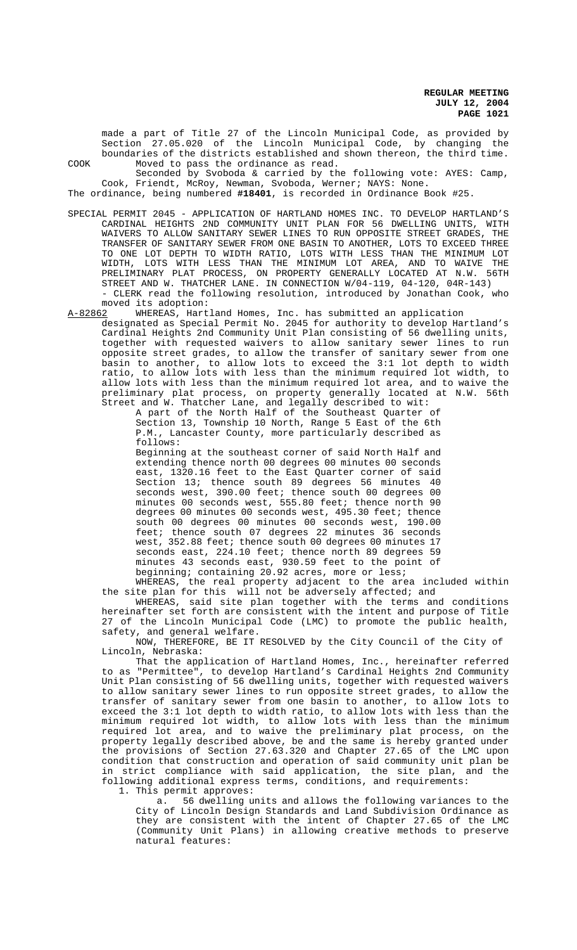made a part of Title 27 of the Lincoln Municipal Code, as provided by Section 27.05.020 of the Lincoln Municipal Code, by changing the boundaries of the districts established and shown thereon, the third time. COOK Moved to pass the ordinance as read.

Seconded by Svoboda & carried by the following vote: AYES: Camp, Cook, Friendt, McRoy, Newman, Svoboda, Werner; NAYS: None.

The ordinance, being numbered **#18401**, is recorded in Ordinance Book #25.

SPECIAL PERMIT 2045 - APPLICATION OF HARTLAND HOMES INC. TO DEVELOP HARTLAND'S CARDINAL HEIGHTS 2ND COMMUNITY UNIT PLAN FOR 56 DWELLING UNITS, WITH WAIVERS TO ALLOW SANITARY SEWER LINES TO RUN OPPOSITE STREET GRADES, THE TRANSFER OF SANITARY SEWER FROM ONE BASIN TO ANOTHER, LOTS TO EXCEED THREE TO ONE LOT DEPTH TO WIDTH RATIO, LOTS WITH LESS THAN THE MINIMUM LOT WIDTH, LOTS WITH LESS THAN THE MINIMUM LOT AREA, AND TO WAIVE THE PRELIMINARY PLAT PROCESS, ON PROPERTY GENERALLY LOCATED AT N.W. 56TH STREET AND W. THATCHER LANE. IN CONNECTION W/04-119, 04-120, 04R-143) - CLERK read the following resolution, introduced by Jonathan Cook, who

moved its adoption:<br>A-82862 WHEREAS, Hart WHEREAS, Hartland Homes, Inc. has submitted an application

designated as Special Permit No. 2045 for authority to develop Hartland's Cardinal Heights 2nd Community Unit Plan consisting of 56 dwelling units, together with requested waivers to allow sanitary sewer lines to run opposite street grades, to allow the transfer of sanitary sewer from one basin to another, to allow lots to exceed the 3:1 lot depth to width ratio, to allow lots with less than the minimum required lot width, to allow lots with less than the minimum required lot area, and to waive the preliminary plat process, on property generally located at N.W. 56th Street and W. Thatcher Lane, and legally described to wit:

> A part of the North Half of the Southeast Quarter of Section 13, Township 10 North, Range 5 East of the 6th P.M., Lancaster County, more particularly described as follows:

> Beginning at the southeast corner of said North Half and extending thence north 00 degrees 00 minutes 00 seconds east, 1320.16 feet to the East Quarter corner of said Section 13; thence south 89 degrees 56 minutes 40 seconds west, 390.00 feet; thence south 00 degrees 00 minutes 00 seconds west, 555.80 feet; thence north 90 degrees 00 minutes 00 seconds west, 495.30 feet; thence south 00 degrees 00 minutes 00 seconds west, 190.00 feet; thence south 07 degrees 22 minutes 36 seconds west, 352.88 feet; thence south 00 degrees 00 minutes 17 seconds east, 224.10 feet; thence north 89 degrees 59 minutes 43 seconds east, 930.59 feet to the point of beginning; containing 20.92 acres, more or less;

WHEREAS, the real property adjacent to the area included within the site plan for this will not be adversely affected; and

WHEREAS, said site plan together with the terms and conditions hereinafter set forth are consistent with the intent and purpose of Title 27 of the Lincoln Municipal Code (LMC) to promote the public health, safety, and general welfare.

NOW, THEREFORE, BE IT RESOLVED by the City Council of the City of Lincoln, Nebraska:

That the application of Hartland Homes, Inc., hereinafter referred to as "Permittee", to develop Hartland's Cardinal Heights 2nd Community Unit Plan consisting of 56 dwelling units, together with requested waivers to allow sanitary sewer lines to run opposite street grades, to allow the transfer of sanitary sewer from one basin to another, to allow lots to exceed the 3:1 lot depth to width ratio, to allow lots with less than the minimum required lot width, to allow lots with less than the minimum required lot area, and to waive the preliminary plat process, on the property legally described above, be and the same is hereby granted under the provisions of Section 27.63.320 and Chapter 27.65 of the LMC upon condition that construction and operation of said community unit plan be in strict compliance with said application, the site plan, and the following additional express terms, conditions, and requirements:

1. This permit approves:

a. 56 dwelling units and allows the following variances to the City of Lincoln Design Standards and Land Subdivision Ordinance as they are consistent with the intent of Chapter 27.65 of the LMC (Community Unit Plans) in allowing creative methods to preserve natural features: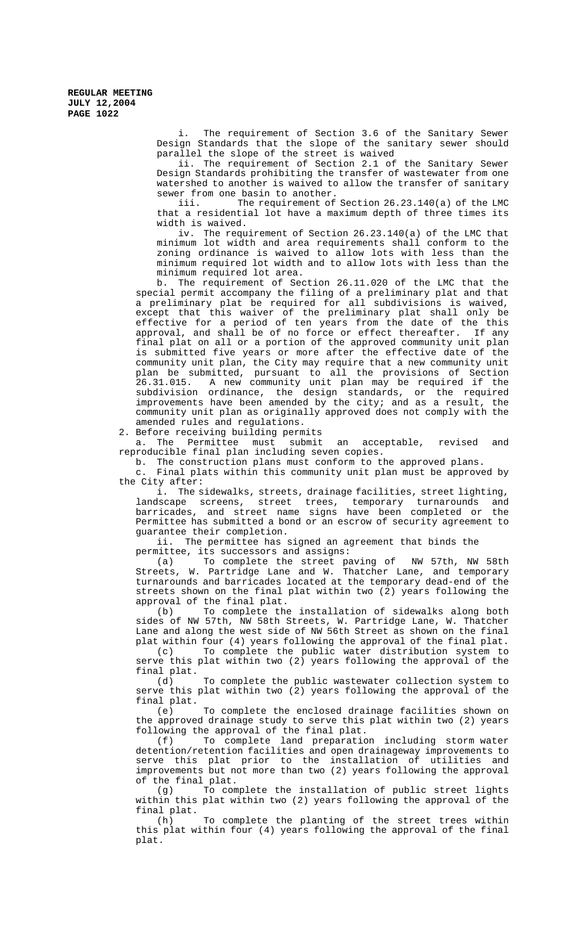> i. The requirement of Section 3.6 of the Sanitary Sewer Design Standards that the slope of the sanitary sewer should parallel the slope of the street is waived

> ii. The requirement of Section 2.1 of the Sanitary Sewer Design Standards prohibiting the transfer of wastewater from one watershed to another is waived to allow the transfer of sanitary sewer from one basin to another.

> iii. The requirement of Section 26.23.140(a) of the LMC that a residential lot have a maximum depth of three times its width is waived.

> iv. The requirement of Section 26.23.140(a) of the LMC that minimum lot width and area requirements shall conform to the zoning ordinance is waived to allow lots with less than the minimum required lot width and to allow lots with less than the minimum required lot area.

b. The requirement of Section 26.11.020 of the LMC that the special permit accompany the filing of a preliminary plat and that a preliminary plat be required for all subdivisions is waived, except that this waiver of the preliminary plat shall only be effective for a period of ten years from the date of the this approval, and shall be of no force or effect thereafter. If any final plat on all or a portion of the approved community unit plan is submitted five years or more after the effective date of the community unit plan, the City may require that a new community unit plan be submitted, pursuant to all the provisions of Section 26.31.015. A new community unit plan may be required if the subdivision ordinance, the design standards, or the required improvements have been amended by the city; and as a result, the community unit plan as originally approved does not comply with the amended rules and regulations.

2. Before receiving building permits

a. The Permittee must submit an acceptable, revised and reproducible final plan including seven copies.

b. The construction plans must conform to the approved plans.

c. Final plats within this community unit plan must be approved by the City after:

i. The sidewalks, streets, drainage facilities, street lighting, landscape screens, street trees, temporary turnarounds and barricades, and street name signs have been completed or the Permittee has submitted a bond or an escrow of security agreement to guarantee their completion.

ii. The permittee has signed an agreement that binds the permittee, its successors and assigns:

(a) To complete the street paving of NW 57th, NW 58th Streets, W. Partridge Lane and W. Thatcher Lane, and temporary turnarounds and barricades located at the temporary dead-end of the streets shown on the final plat within two (2) years following the approval of the final plat.

(b) To complete the installation of sidewalks along both sides of NW 57th, NW 58th Streets, W. Partridge Lane, W. Thatcher Lane and along the west side of NW 56th Street as shown on the final plat within four (4) years following the approval of the final plat.

(c) To complete the public water distribution system to serve this plat within two (2) years following the approval of the final plat.

(d) To complete the public wastewater collection system to serve this plat within two (2) years following the approval of the final plat.

(e) To complete the enclosed drainage facilities shown on the approved drainage study to serve this plat within two (2) years following the approval of the final plat.<br>(f) To complete land preparation

To complete land preparation including storm water detention/retention facilities and open drainageway improvements to serve this plat prior to the installation of utilities and improvements but not more than two (2) years following the approval of the final plat.

(g) To complete the installation of public street lights within this plat within two (2) years following the approval of the final plat.<br>(h)

To complete the planting of the street trees within this plat within four (4) years following the approval of the final plat.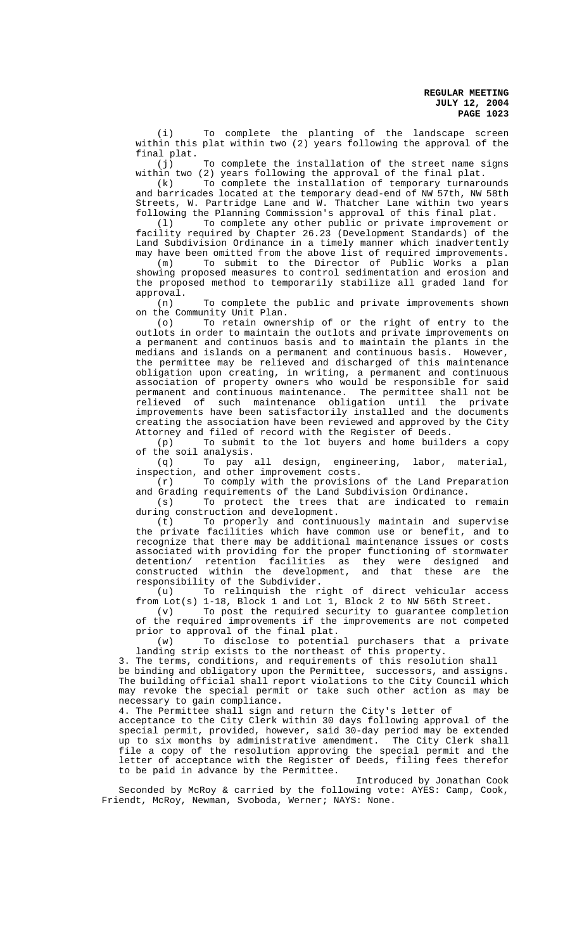(i) To complete the planting of the landscape screen within this plat within two (2) years following the approval of the final plat.

(j) To complete the installation of the street name signs within two (2) years following the approval of the final plat.

(k) To complete the installation of temporary turnarounds and barricades located at the temporary dead-end of NW 57th, NW 58th Streets, W. Partridge Lane and W. Thatcher Lane within two years following the Planning Commission's approval of this final plat.

(l) To complete any other public or private improvement or facility required by Chapter 26.23 (Development Standards) of the Land Subdivision Ordinance in a timely manner which inadvertently may have been omitted from the above list of required improvements.

(m) To submit to the Director of Public Works a plan showing proposed measures to control sedimentation and erosion and the proposed method to temporarily stabilize all graded land for approval.

(n) To complete the public and private improvements shown on the Community Unit Plan.<br>(o) To retain owner

To retain ownership of or the right of entry to the outlots in order to maintain the outlots and private improvements on a permanent and continuos basis and to maintain the plants in the medians and islands on a permanent and continuous basis. However, the permittee may be relieved and discharged of this maintenance obligation upon creating, in writing, a permanent and continuous association of property owners who would be responsible for said permanent and continuous maintenance. The permittee shall not be relieved of such maintenance obligation until the private improvements have been satisfactorily installed and the documents creating the association have been reviewed and approved by the City Attorney and filed of record with the Register of Deeds.

(p) To submit to the lot buyers and home builders a copy of the soil analysis.

(q) To pay all design, engineering, labor, material, inspection, and other improvement costs.

(r) To comply with the provisions of the Land Preparation and Grading requirements of the Land Subdivision Ordinance.

(s) To protect the trees that are indicated to remain during construction and development.

(t) To properly and continuously maintain and supervise the private facilities which have common use or benefit, and to recognize that there may be additional maintenance issues or costs associated with providing for the proper functioning of stormwater detention/ retention facilities as they were designed and constructed within the development, and that these are the responsibility of the Subdivider.

(u) To relinquish the right of direct vehicular access from Lot(s) 1-18, Block 1 and Lot 1, Block 2 to NW 56th Street.

To post the required security to guarantee completion of the required improvements if the improvements are not competed prior to approval of the final plat.

(w) To disclose to potential purchasers that a private landing strip exists to the northeast of this property.

3. The terms, conditions, and requirements of this resolution shall be binding and obligatory upon the Permittee, successors, and assigns. The building official shall report violations to the City Council which may revoke the special permit or take such other action as may be necessary to gain compliance.

4. The Permittee shall sign and return the City's letter of

acceptance to the City Clerk within 30 days following approval of the special permit, provided, however, said 30-day period may be extended up to six months by administrative amendment. The City Clerk shall file a copy of the resolution approving the special permit and the letter of acceptance with the Register of Deeds, filing fees therefor to be paid in advance by the Permittee.

Introduced by Jonathan Cook Seconded by McRoy & carried by the following vote: AYES: Camp, Cook, Friendt, McRoy, Newman, Svoboda, Werner; NAYS: None.